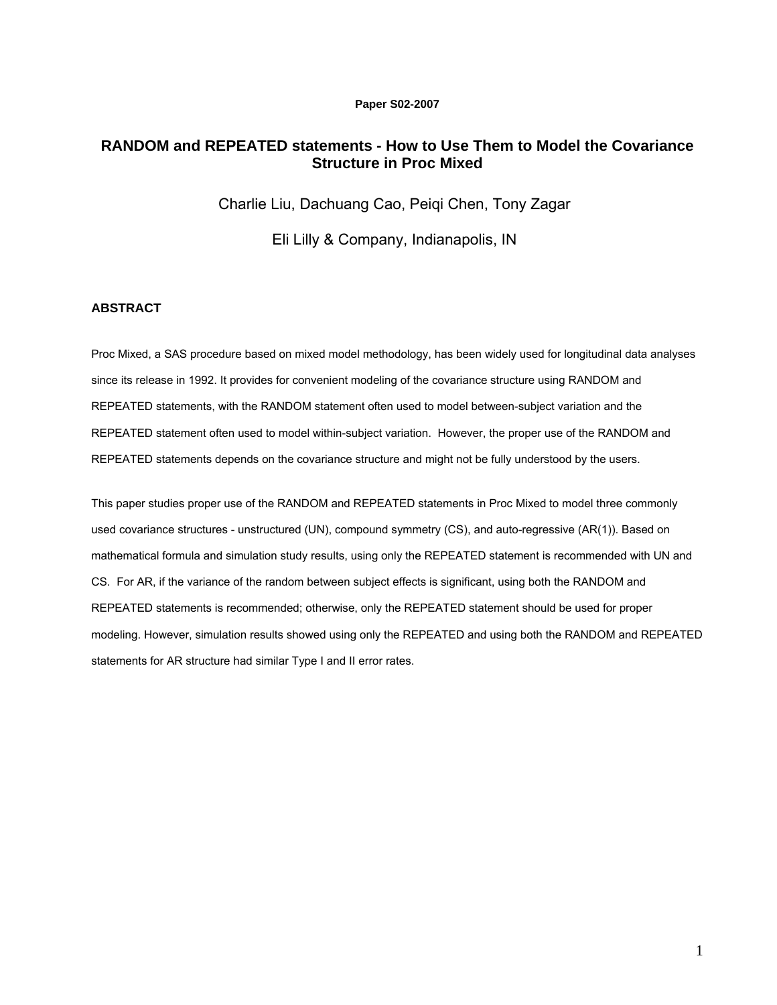### **Paper S02-2007**

# **RANDOM and REPEATED statements - How to Use Them to Model the Covariance Structure in Proc Mixed**

Charlie Liu, Dachuang Cao, Peiqi Chen, Tony Zagar

Eli Lilly & Company, Indianapolis, IN

## **ABSTRACT**

Proc Mixed, a SAS procedure based on mixed model methodology, has been widely used for longitudinal data analyses since its release in 1992. It provides for convenient modeling of the covariance structure using RANDOM and REPEATED statements, with the RANDOM statement often used to model between-subject variation and the REPEATED statement often used to model within-subject variation. However, the proper use of the RANDOM and REPEATED statements depends on the covariance structure and might not be fully understood by the users.

This paper studies proper use of the RANDOM and REPEATED statements in Proc Mixed to model three commonly used covariance structures - unstructured (UN), compound symmetry (CS), and auto-regressive (AR(1)). Based on mathematical formula and simulation study results, using only the REPEATED statement is recommended with UN and CS. For AR, if the variance of the random between subject effects is significant, using both the RANDOM and REPEATED statements is recommended; otherwise, only the REPEATED statement should be used for proper modeling. However, simulation results showed using only the REPEATED and using both the RANDOM and REPEATED statements for AR structure had similar Type I and II error rates.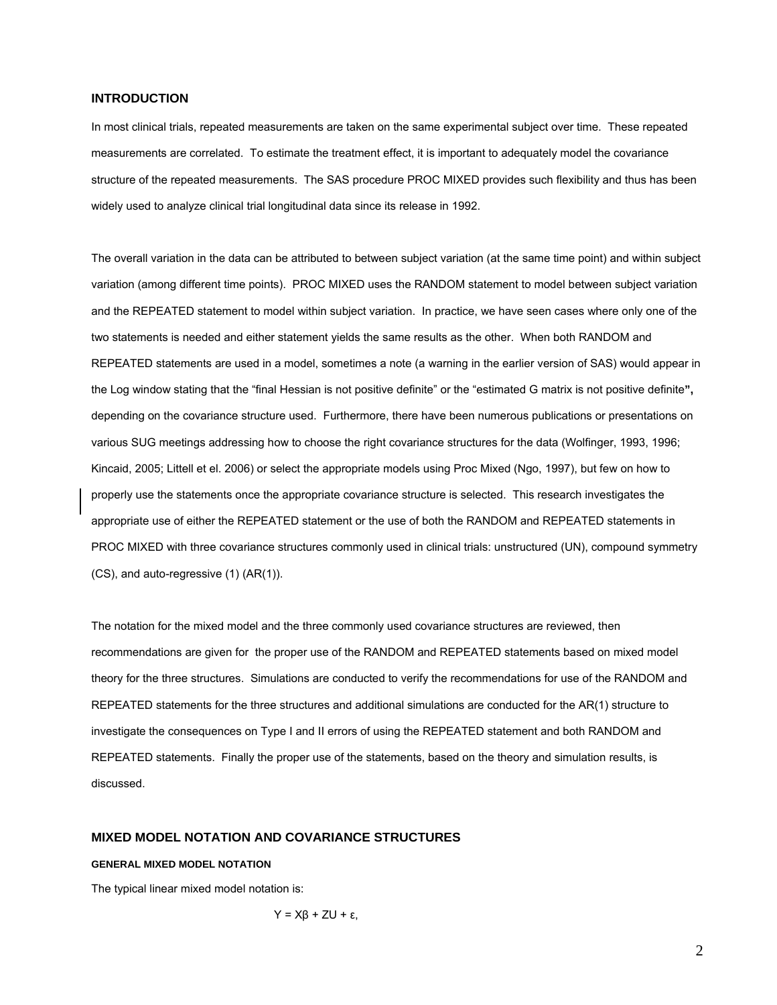### **INTRODUCTION**

In most clinical trials, repeated measurements are taken on the same experimental subject over time. These repeated measurements are correlated. To estimate the treatment effect, it is important to adequately model the covariance structure of the repeated measurements. The SAS procedure PROC MIXED provides such flexibility and thus has been widely used to analyze clinical trial longitudinal data since its release in 1992.

The overall variation in the data can be attributed to between subject variation (at the same time point) and within subject variation (among different time points). PROC MIXED uses the RANDOM statement to model between subject variation and the REPEATED statement to model within subject variation. In practice, we have seen cases where only one of the two statements is needed and either statement yields the same results as the other. When both RANDOM and REPEATED statements are used in a model, sometimes a note (a warning in the earlier version of SAS) would appear in the Log window stating that the "final Hessian is not positive definite" or the "estimated G matrix is not positive definite**",**  depending on the covariance structure used. Furthermore, there have been numerous publications or presentations on various SUG meetings addressing how to choose the right covariance structures for the data (Wolfinger, 1993, 1996; Kincaid, 2005; Littell et el. 2006) or select the appropriate models using Proc Mixed (Ngo, 1997), but few on how to properly use the statements once the appropriate covariance structure is selected. This research investigates the appropriate use of either the REPEATED statement or the use of both the RANDOM and REPEATED statements in PROC MIXED with three covariance structures commonly used in clinical trials: unstructured (UN), compound symmetry (CS), and auto-regressive (1) (AR(1)).

The notation for the mixed model and the three commonly used covariance structures are reviewed, then recommendations are given for the proper use of the RANDOM and REPEATED statements based on mixed model theory for the three structures. Simulations are conducted to verify the recommendations for use of the RANDOM and REPEATED statements for the three structures and additional simulations are conducted for the AR(1) structure to investigate the consequences on Type I and II errors of using the REPEATED statement and both RANDOM and REPEATED statements. Finally the proper use of the statements, based on the theory and simulation results, is discussed.

## **MIXED MODEL NOTATION AND COVARIANCE STRUCTURES**

#### **GENERAL MIXED MODEL NOTATION**

The typical linear mixed model notation is:

$$
Y = X\beta + ZU + \epsilon,
$$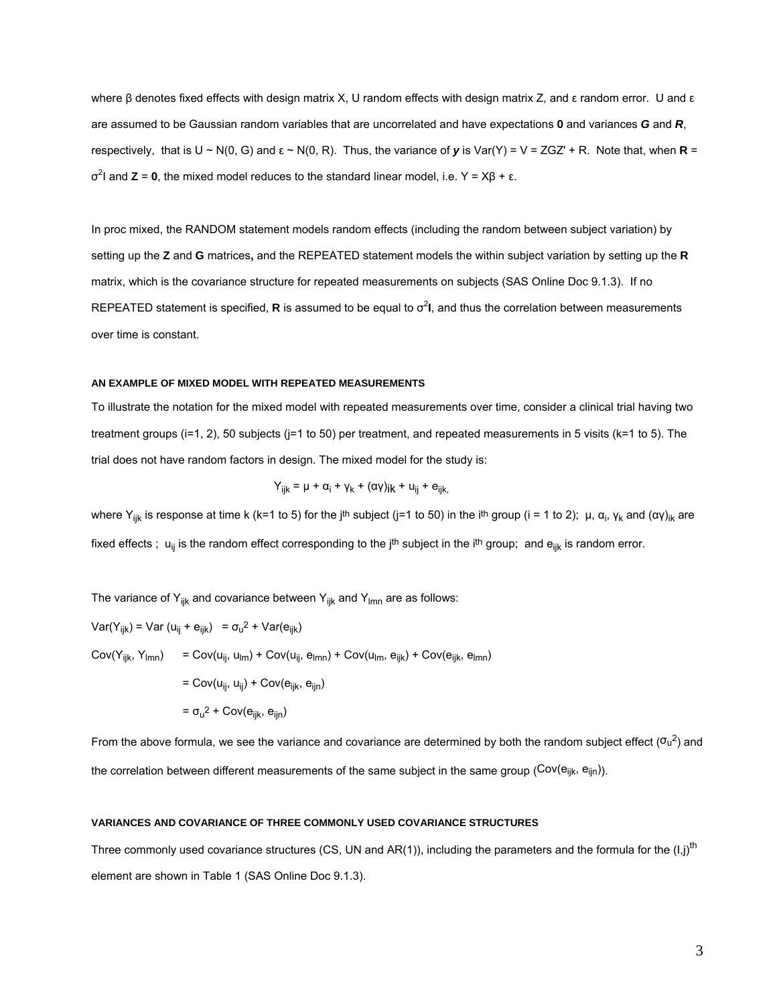where β denotes fixed effects with design matrix X, U random effects with design matrix Z, and ε random error. U and ε are assumed to be Gaussian random variables that are uncorrelated and have expectations **0** and variances *G* and *R*, respectively, that is  $U \sim N(0, G)$  and  $ε \sim N(0, R)$ . Thus, the variance of *y* is Var(Y) = V = ZGZ' + R. Note that, when **R** = σ2 I and **Z** = **0**, the mixed model reduces to the standard linear model, i.e. Y = Xβ + ε.

In proc mixed, the RANDOM statement models random effects (including the random between subject variation) by setting up the **Z** and **G** matrices**,** and the REPEATED statement models the within subject variation by setting up the **R** matrix, which is the covariance structure for repeated measurements on subjects (SAS Online Doc 9.1.3). If no REPEATED statement is specified, R is assumed to be equal to  $\sigma^2$ I, and thus the correlation between measurements over time is constant.

#### **AN EXAMPLE OF MIXED MODEL WITH REPEATED MEASUREMENTS**

To illustrate the notation for the mixed model with repeated measurements over time, consider a clinical trial having two treatment groups (i=1, 2), 50 subjects (j=1 to 50) per treatment, and repeated measurements in 5 visits (k=1 to 5). The trial does not have random factors in design. The mixed model for the study is:

$$
Y_{ijk} = \mu + \alpha_i + \gamma_k + (\alpha \gamma)_{ik} + u_{ij} + e_{ijk},
$$

where Y<sub>ijk</sub> is response at time k (k=1 to 5) for the j<sup>th</sup> subject (j=1 to 50) in the i<sup>th</sup> group (i = 1 to 2); μ, α<sub>i</sub>, γ<sub>k</sub> and (αγ)<sub>ik</sub> are fixed effects;  $u_{ij}$  is the random effect corresponding to the j<sup>th</sup> subject in the i<sup>th</sup> group; and  $e_{ijk}$  is random error.

The variance of  $Y_{ijk}$  and covariance between  $Y_{ijk}$  and  $Y_{lmn}$  are as follows:

Var(Y<sub>ijk</sub>) = Var (u<sub>ij</sub> + e<sub>ijk</sub>) =  $\sigma_u^2$  + Var(e<sub>ijk</sub>)  $Cov(Y_{iik}, Y_{lmn}) = Cov(u_{ii}, u_{lm}) + Cov(u_{ii}, e_{lmn}) + Cov(u_{lm}, e_{iik}) + Cov(e_{iik}, e_{lmn})$  $=$  Cov(u<sub>ii</sub>, u<sub>ii</sub>) + Cov(e<sub>iik</sub>, e<sub>iin</sub>)  $= \sigma_{u}^2 + \text{Cov}(e_{ijk}, e_{ijn})$ 

From the above formula, we see the variance and covariance are determined by both the random subject effect ( $\sigma_u^2$ ) and the correlation between different measurements of the same subject in the same group ( $Cov(e_{ijk}, e_{ijn})$ ).

#### **VARIANCES AND COVARIANCE OF THREE COMMONLY USED COVARIANCE STRUCTURES**

Three commonly used covariance structures (CS, UN and AR(1)), including the parameters and the formula for the  $(I,j)$ <sup>th</sup> element are shown in Table 1 (SAS Online Doc 9.1.3).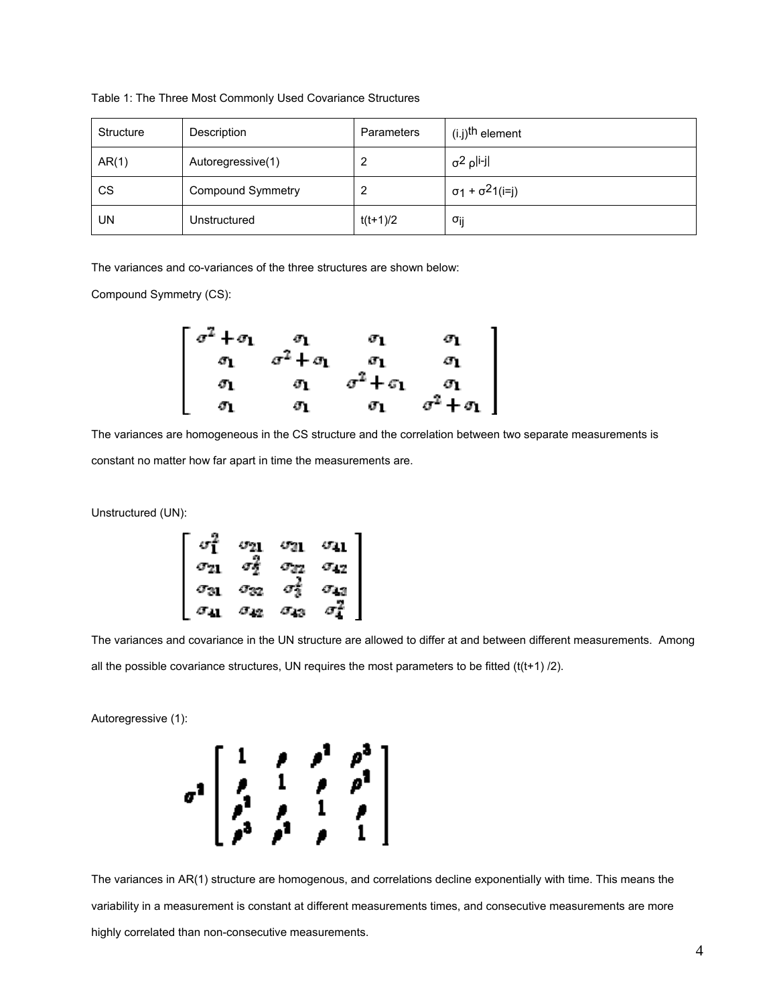| Structure | Description              | Parameters | (i.j) <sup>th</sup> element |
|-----------|--------------------------|------------|-----------------------------|
| AR(1)     | Autoregressive(1)        |            | $\sigma^2$ pli-jl           |
| CS        | <b>Compound Symmetry</b> |            | $σ1 + σ21(i=j)$             |
| UN        | Unstructured             | $t(t+1)/2$ | σij                         |

Table 1: The Three Most Commonly Used Covariance Structures

The variances and co-variances of the three structures are shown below:

Compound Symmetry (CS):

$$
\begin{bmatrix}\n\sigma^2 + \sigma_1 & \sigma_1 & \sigma_1 & \sigma_1 \\
\sigma_1 & \sigma^2 + \sigma_1 & \sigma_1 & \sigma_1 \\
\sigma_1 & \sigma_1 & \sigma^2 + \sigma_1 & \sigma_1 \\
\sigma_1 & \sigma_1 & \sigma_1 & \sigma^2 + \sigma_1\n\end{bmatrix}
$$

The variances are homogeneous in the CS structure and the correlation between two separate measurements is constant no matter how far apart in time the measurements are.

Unstructured (UN):

|               | $\sigma_{A1}$ | $\sigma_{\rm 31}$ | $\sigma_{41}$  |
|---------------|---------------|-------------------|----------------|
| $\sigma_{A1}$ | σę            | $\sigma_{AA}$     | $\sigma_{1,2}$ |
| $\sigma_{31}$ | $\sigma_{32}$ | σş                | $\sigma_{4,3}$ |
| $\sigma_{41}$ | $\sigma_{12}$ | блэ               |                |

The variances and covariance in the UN structure are allowed to differ at and between different measurements. Among all the possible covariance structures, UN requires the most parameters to be fitted  $(t(t+1) / 2)$ .

Autoregressive (1):



The variances in AR(1) structure are homogenous, and correlations decline exponentially with time. This means the variability in a measurement is constant at different measurements times, and consecutive measurements are more highly correlated than non-consecutive measurements.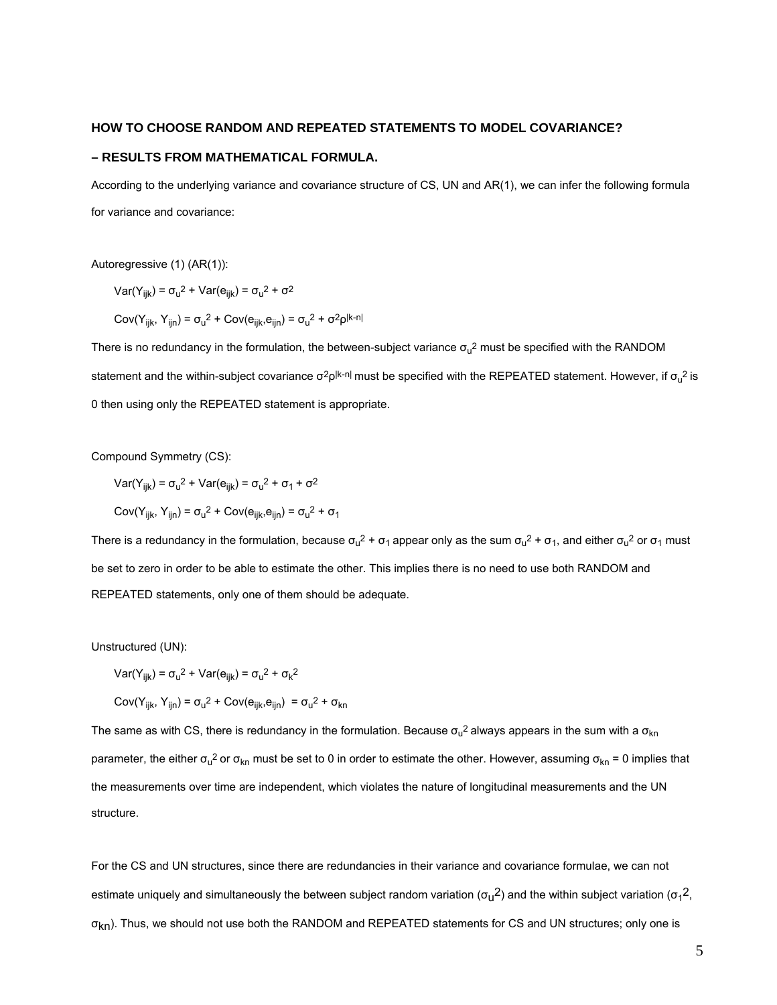#### **HOW TO CHOOSE RANDOM AND REPEATED STATEMENTS TO MODEL COVARIANCE?**

### **– RESULTS FROM MATHEMATICAL FORMULA.**

According to the underlying variance and covariance structure of CS, UN and AR(1), we can infer the following formula for variance and covariance:

Autoregressive (1) (AR(1)):

Var(Y<sub>ijk</sub>) =  $\sigma_u^2$  + Var( $e_{ijk}$ ) =  $\sigma_u^2$  +  $\sigma^2$ 

Cov(Y<sub>ijk</sub>, Y<sub>ijn</sub>) =  $\sigma_u^2$  + Cov(e<sub>ijk</sub>,e<sub>ijn</sub>) =  $\sigma_u^2$  + σ<sup>2</sup>ρl<sup>k-n|</sup>

There is no redundancy in the formulation, the between-subject variance  $\sigma_u^2$  must be specified with the RANDOM statement and the within-subject covariance σ<sup>2</sup>ρl<sup>k-n|</sup> must be specified with the REPEATED statement. However, if σ<sub>u</sub><sup>2</sup> is 0 then using only the REPEATED statement is appropriate.

Compound Symmetry (CS):

Var(Y<sub>ijk</sub>) =  $\sigma_u^2$  + Var(e<sub>ijk</sub>) =  $\sigma_u^2$  +  $\sigma_1$  +  $\sigma^2$ 

Cov(Y<sub>ijk</sub>, Y<sub>ijn</sub>) = σ<sub>u</sub><sup>2</sup> + Cov(e<sub>ijk</sub>,e<sub>ijn</sub>) = σ<sub>u</sub><sup>2</sup> + σ<sub>1</sub>

There is a redundancy in the formulation, because  $\sigma_u^2$  +  $\sigma_1$  appear only as the sum  $\sigma_u^2$  +  $\sigma_1$ , and either  $\sigma_u^2$  or  $\sigma_1$  must be set to zero in order to be able to estimate the other. This implies there is no need to use both RANDOM and REPEATED statements, only one of them should be adequate.

Unstructured (UN):

$$
Var(Y_{ijk}) = \sigma_u^2 + Var(e_{ijk}) = \sigma_u^2 + \sigma_k^2
$$

Cov(Y<sub>ijk</sub>, Y<sub>ijn</sub>) =  $\sigma_u^2$  + Cov( $e_{ijk}$ , $e_{ijn}$ ) =  $\sigma_u^2$  +  $\sigma_{kn}$ 

The same as with CS, there is redundancy in the formulation. Because  $\sigma_u^2$  always appears in the sum with a  $\sigma_{\sf kn}$ parameter, the either  $\sigma_u^2$  or  $\sigma_{kn}$  must be set to 0 in order to estimate the other. However, assuming  $\sigma_{kn}$  = 0 implies that the measurements over time are independent, which violates the nature of longitudinal measurements and the UN structure.

For the CS and UN structures, since there are redundancies in their variance and covariance formulae, we can not estimate uniquely and simultaneously the between subject random variation (σ<sub>u</sub>2) and the within subject variation (σ<sub>1</sub>2, σkn). Thus, we should not use both the RANDOM and REPEATED statements for CS and UN structures; only one is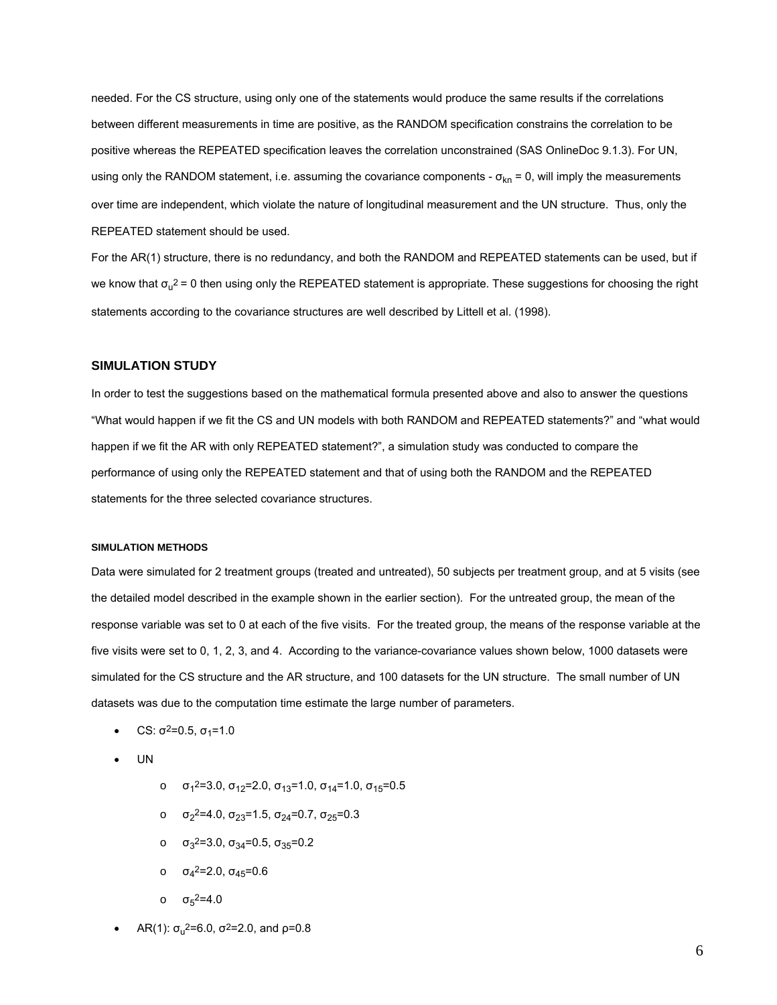needed. For the CS structure, using only one of the statements would produce the same results if the correlations between different measurements in time are positive, as the RANDOM specification constrains the correlation to be positive whereas the REPEATED specification leaves the correlation unconstrained (SAS OnlineDoc 9.1.3). For UN, using only the RANDOM statement, i.e. assuming the covariance components -  $\sigma_{kn}$  = 0, will imply the measurements over time are independent, which violate the nature of longitudinal measurement and the UN structure. Thus, only the REPEATED statement should be used.

For the AR(1) structure, there is no redundancy, and both the RANDOM and REPEATED statements can be used, but if we know that  $\sigma_u^2$  = 0 then using only the REPEATED statement is appropriate. These suggestions for choosing the right statements according to the covariance structures are well described by Littell et al. (1998).

### **SIMULATION STUDY**

In order to test the suggestions based on the mathematical formula presented above and also to answer the questions "What would happen if we fit the CS and UN models with both RANDOM and REPEATED statements?" and "what would happen if we fit the AR with only REPEATED statement?", a simulation study was conducted to compare the performance of using only the REPEATED statement and that of using both the RANDOM and the REPEATED statements for the three selected covariance structures.

### **SIMULATION METHODS**

Data were simulated for 2 treatment groups (treated and untreated), 50 subjects per treatment group, and at 5 visits (see the detailed model described in the example shown in the earlier section). For the untreated group, the mean of the response variable was set to 0 at each of the five visits. For the treated group, the means of the response variable at the five visits were set to 0, 1, 2, 3, and 4. According to the variance-covariance values shown below, 1000 datasets were simulated for the CS structure and the AR structure, and 100 datasets for the UN structure. The small number of UN datasets was due to the computation time estimate the large number of parameters.

- CS:  $\sigma^2$ =0.5,  $\sigma_1$ =1.0
- UN
- ο  $\sigma_1^2$ =3.0,  $\sigma_{12}$ =2.0,  $\sigma_{13}$ =1.0,  $\sigma_{14}$ =1.0,  $\sigma_{15}$ =0.5
- ο  $\sigma_2^2$ =4.0,  $\sigma_{23}$ =1.5,  $\sigma_{24}$ =0.7,  $\sigma_{25}$ =0.3
- ο  $\sigma_3^2$ =3.0,  $\sigma_{34}$ =0.5,  $\sigma_{35}$ =0.2
- ο  $\sigma_4^2$ =2.0,  $\sigma_{45}$ =0.6
- ο  $\sigma_5^2$ =4.0
- AR(1):  $\sigma_{\rm u}^2$ =6.0,  $\sigma^2$ =2.0, and  $\rho$ =0.8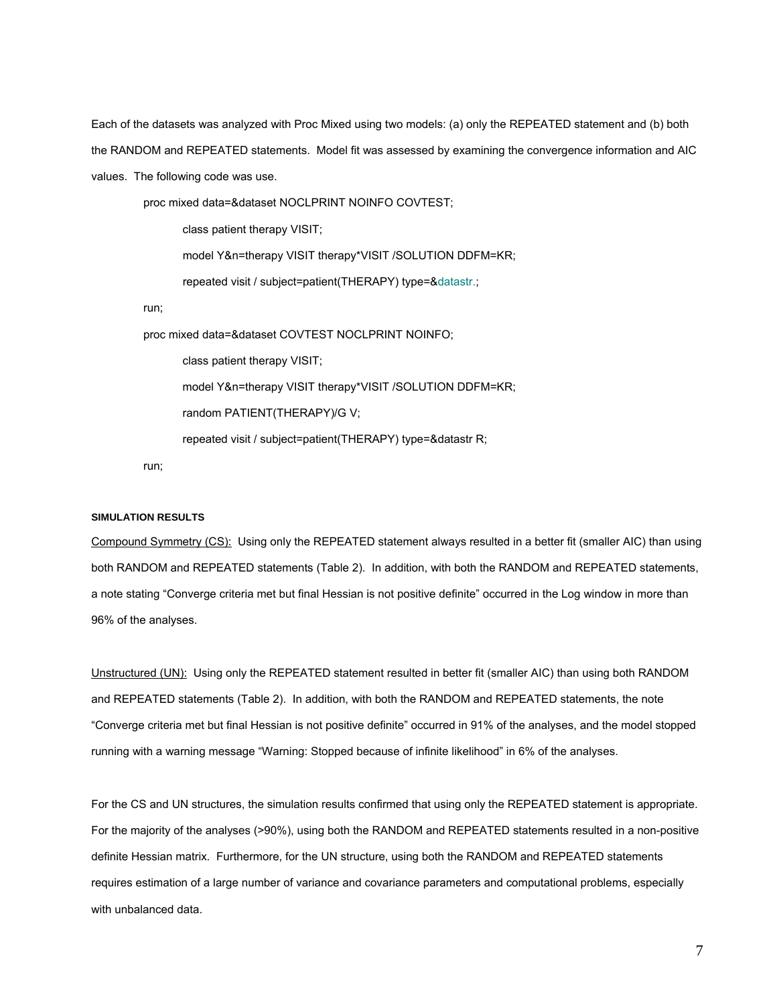Each of the datasets was analyzed with Proc Mixed using two models: (a) only the REPEATED statement and (b) both the RANDOM and REPEATED statements. Model fit was assessed by examining the convergence information and AIC values. The following code was use.

 proc mixed data=&dataset NOCLPRINT NOINFO COVTEST; class patient therapy VISIT; model Y&n=therapy VISIT therapy\*VISIT /SOLUTION DDFM=KR; repeated visit / subject=patient(THERAPY) type=&datastr.; run; proc mixed data=&dataset COVTEST NOCLPRINT NOINFO; class patient therapy VISIT; model Y&n=therapy VISIT therapy\*VISIT /SOLUTION DDFM=KR; random PATIENT(THERAPY)/G V; repeated visit / subject=patient(THERAPY) type=&datastr R;

run;

## **SIMULATION RESULTS**

Compound Symmetry (CS): Using only the REPEATED statement always resulted in a better fit (smaller AIC) than using both RANDOM and REPEATED statements (Table 2). In addition, with both the RANDOM and REPEATED statements, a note stating "Converge criteria met but final Hessian is not positive definite" occurred in the Log window in more than 96% of the analyses.

Unstructured (UN): Using only the REPEATED statement resulted in better fit (smaller AIC) than using both RANDOM and REPEATED statements (Table 2). In addition, with both the RANDOM and REPEATED statements, the note "Converge criteria met but final Hessian is not positive definite" occurred in 91% of the analyses, and the model stopped running with a warning message "Warning: Stopped because of infinite likelihood" in 6% of the analyses.

For the CS and UN structures, the simulation results confirmed that using only the REPEATED statement is appropriate. For the majority of the analyses (>90%), using both the RANDOM and REPEATED statements resulted in a non-positive definite Hessian matrix. Furthermore, for the UN structure, using both the RANDOM and REPEATED statements requires estimation of a large number of variance and covariance parameters and computational problems, especially with unbalanced data.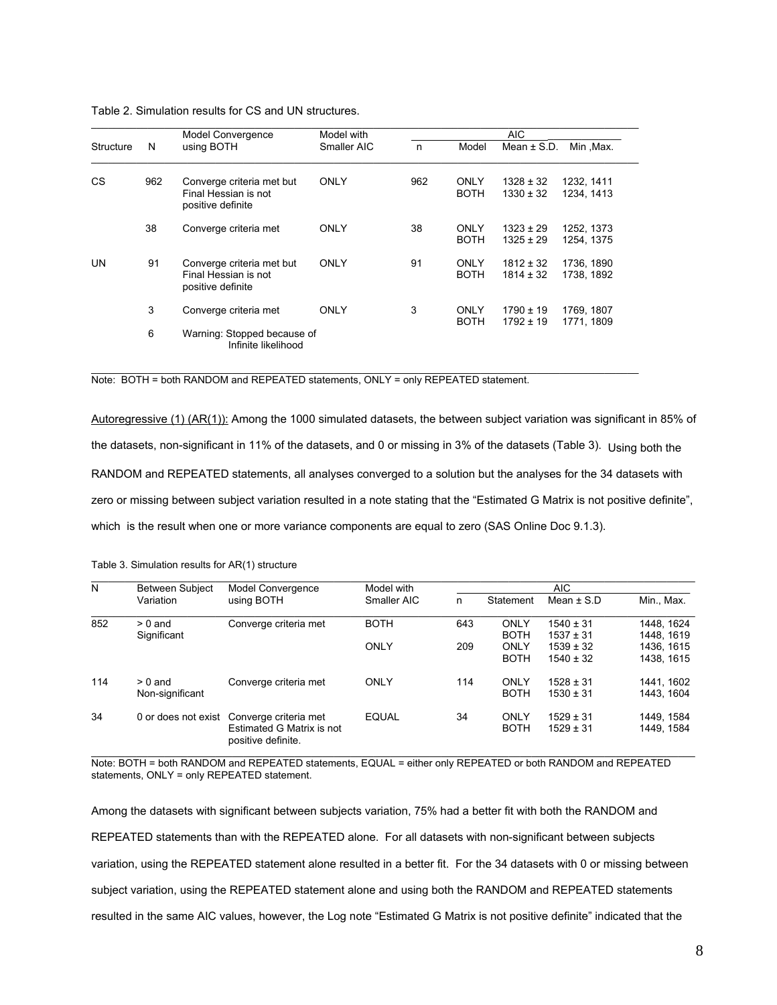|           |     | Model Convergence                                                      | Model with  |     |                            | AIC                            |                          |
|-----------|-----|------------------------------------------------------------------------|-------------|-----|----------------------------|--------------------------------|--------------------------|
| Structure | N   | using BOTH                                                             | Smaller AIC | n   | Model                      | Mean $\pm$ S.D.                | Min, Max.                |
| <b>CS</b> | 962 | Converge criteria met but<br>Final Hessian is not<br>positive definite | ONLY        | 962 | <b>ONLY</b><br><b>BOTH</b> | $1328 \pm 32$<br>$1330 \pm 32$ | 1232, 1411<br>1234, 1413 |
|           | 38  | Converge criteria met                                                  | ONLY        | 38  | ONLY<br><b>BOTH</b>        | $1323 \pm 29$<br>$1325 \pm 29$ | 1252, 1373<br>1254, 1375 |
| UN        | 91  | Converge criteria met but<br>Final Hessian is not<br>positive definite | ONLY        | 91  | <b>ONLY</b><br><b>BOTH</b> | $1812 \pm 32$<br>$1814 \pm 32$ | 1736, 1890<br>1738, 1892 |
|           | 3   | Converge criteria met                                                  | ONLY        | 3   | ONLY<br><b>BOTH</b>        | $1790 \pm 19$<br>$1792 \pm 19$ | 1769, 1807<br>1771, 1809 |
|           | 6   | Warning: Stopped because of<br>Infinite likelihood                     |             |     |                            |                                |                          |

\_\_\_\_\_\_\_\_\_\_\_\_\_\_\_\_\_\_\_\_\_\_\_\_\_\_\_\_\_\_\_\_\_\_\_\_\_\_\_\_\_\_\_\_\_\_\_\_\_\_\_\_\_\_\_\_\_\_\_\_\_\_\_\_\_\_\_\_\_\_\_\_\_\_\_\_\_\_\_\_\_\_\_\_\_\_\_\_\_\_\_\_\_\_\_\_\_

Table 2. Simulation results for CS and UN structures.

Note: BOTH = both RANDOM and REPEATED statements, ONLY = only REPEATED statement.

Autoregressive (1) (AR(1)): Among the 1000 simulated datasets, the between subject variation was significant in 85% of the datasets, non-significant in 11% of the datasets, and 0 or missing in 3% of the datasets (Table 3). Using both the RANDOM and REPEATED statements, all analyses converged to a solution but the analyses for the 34 datasets with zero or missing between subject variation resulted in a note stating that the "Estimated G Matrix is not positive definite", which is the result when one or more variance components are equal to zero (SAS Online Doc 9.1.3).

| N   | Between Subject<br>Variation | Model Convergence<br>using BOTH                                          | Model with<br>Smaller AIC | AIC |                     |                                |                          |
|-----|------------------------------|--------------------------------------------------------------------------|---------------------------|-----|---------------------|--------------------------------|--------------------------|
|     |                              |                                                                          |                           | n   | Statement           | Mean $\pm$ S.D                 | Min., Max.               |
| 852 | $> 0$ and<br>Significant     | Converge criteria met                                                    | <b>BOTH</b>               | 643 | ONLY<br><b>BOTH</b> | $1540 \pm 31$<br>$1537 \pm 31$ | 1448. 1624<br>1448.1619  |
|     |                              |                                                                          | ONLY                      | 209 | ONLY<br><b>BOTH</b> | $1539 \pm 32$<br>$1540 \pm 32$ | 1436.1615<br>1438.1615   |
| 114 | $> 0$ and<br>Non-significant | Converge criteria met                                                    | ONLY                      | 114 | ONLY<br><b>BOTH</b> | $1528 \pm 31$<br>$1530 \pm 31$ | 1441.1602<br>1443.1604   |
| 34  | 0 or does not exist          | Converge criteria met<br>Estimated G Matrix is not<br>positive definite. | <b>EQUAL</b>              | 34  | ONLY<br><b>BOTH</b> | $1529 \pm 31$<br>$1529 \pm 31$ | 1449. 1584<br>1449, 1584 |

Table 3. Simulation results for AR(1) structure

Note: BOTH = both RANDOM and REPEATED statements, EQUAL = either only REPEATED or both RANDOM and REPEATED statements, ONLY = only REPEATED statement.

Among the datasets with significant between subjects variation, 75% had a better fit with both the RANDOM and REPEATED statements than with the REPEATED alone. For all datasets with non-significant between subjects variation, using the REPEATED statement alone resulted in a better fit. For the 34 datasets with 0 or missing between subject variation, using the REPEATED statement alone and using both the RANDOM and REPEATED statements resulted in the same AIC values, however, the Log note "Estimated G Matrix is not positive definite" indicated that the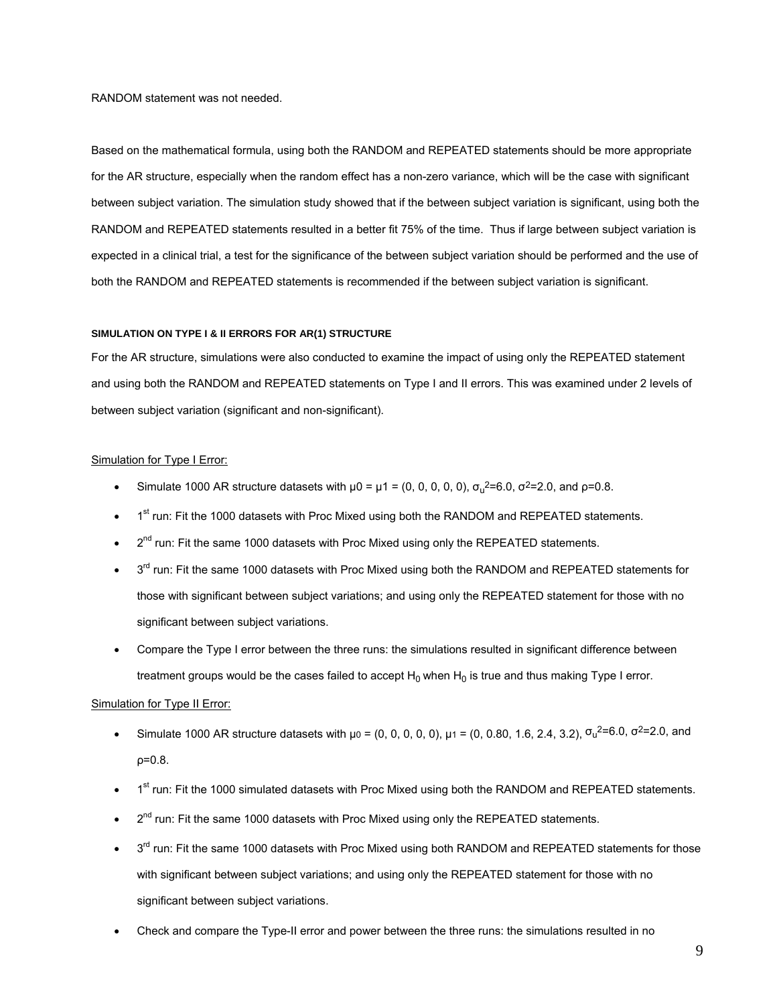RANDOM statement was not needed.

Based on the mathematical formula, using both the RANDOM and REPEATED statements should be more appropriate for the AR structure, especially when the random effect has a non-zero variance, which will be the case with significant between subject variation. The simulation study showed that if the between subject variation is significant, using both the RANDOM and REPEATED statements resulted in a better fit 75% of the time. Thus if large between subject variation is expected in a clinical trial, a test for the significance of the between subject variation should be performed and the use of both the RANDOM and REPEATED statements is recommended if the between subject variation is significant.

#### **SIMULATION ON TYPE I & II ERRORS FOR AR(1) STRUCTURE**

For the AR structure, simulations were also conducted to examine the impact of using only the REPEATED statement and using both the RANDOM and REPEATED statements on Type I and II errors. This was examined under 2 levels of between subject variation (significant and non-significant).

### Simulation for Type I Error:

- Simulate 1000 AR structure datasets with  $\mu$ 0 =  $\mu$ 1 = (0, 0, 0, 0, 0),  $\sigma_u^2$ =6.0,  $\sigma^2$ =2.0, and  $\rho$ =0.8.
- 1<sup>st</sup> run: Fit the 1000 datasets with Proc Mixed using both the RANDOM and REPEATED statements.
- $2^{nd}$  run: Fit the same 1000 datasets with Proc Mixed using only the REPEATED statements.
- 3<sup>rd</sup> run: Fit the same 1000 datasets with Proc Mixed using both the RANDOM and REPEATED statements for those with significant between subject variations; and using only the REPEATED statement for those with no significant between subject variations.
- Compare the Type I error between the three runs: the simulations resulted in significant difference between treatment groups would be the cases failed to accept  $H_0$  when  $H_0$  is true and thus making Type I error.

#### Simulation for Type II Error:

- Simulate 1000 AR structure datasets with  $\mu_0 = (0, 0, 0, 0, 0)$ ,  $\mu_1 = (0, 0.80, 1.6, 2.4, 3.2)$ ,  $\sigma_u^2 = 6.0$ ,  $\sigma^2 = 2.0$ , and ρ=0.8.
- 1<sup>st</sup> run: Fit the 1000 simulated datasets with Proc Mixed using both the RANDOM and REPEATED statements.
- $2^{nd}$  run: Fit the same 1000 datasets with Proc Mixed using only the REPEATED statements.
- $3<sup>rd</sup>$  run: Fit the same 1000 datasets with Proc Mixed using both RANDOM and REPEATED statements for those with significant between subject variations; and using only the REPEATED statement for those with no significant between subject variations.
- Check and compare the Type-II error and power between the three runs: the simulations resulted in no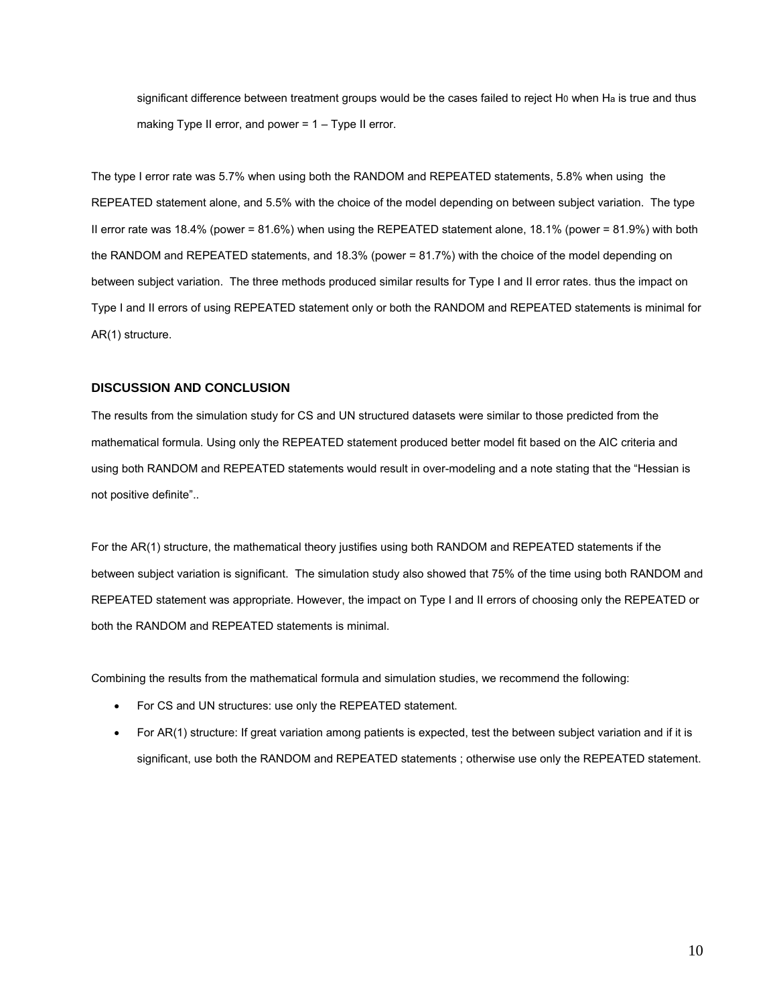significant difference between treatment groups would be the cases failed to reject H0 when Ha is true and thus making Type II error, and power  $= 1 - Type II$  error.

The type I error rate was 5.7% when using both the RANDOM and REPEATED statements, 5.8% when using the REPEATED statement alone, and 5.5% with the choice of the model depending on between subject variation. The type II error rate was 18.4% (power = 81.6%) when using the REPEATED statement alone, 18.1% (power = 81.9%) with both the RANDOM and REPEATED statements, and 18.3% (power = 81.7%) with the choice of the model depending on between subject variation. The three methods produced similar results for Type I and II error rates. thus the impact on Type I and II errors of using REPEATED statement only or both the RANDOM and REPEATED statements is minimal for AR(1) structure.

#### **DISCUSSION AND CONCLUSION**

The results from the simulation study for CS and UN structured datasets were similar to those predicted from the mathematical formula. Using only the REPEATED statement produced better model fit based on the AIC criteria and using both RANDOM and REPEATED statements would result in over-modeling and a note stating that the "Hessian is not positive definite"..

For the AR(1) structure, the mathematical theory justifies using both RANDOM and REPEATED statements if the between subject variation is significant. The simulation study also showed that 75% of the time using both RANDOM and REPEATED statement was appropriate. However, the impact on Type I and II errors of choosing only the REPEATED or both the RANDOM and REPEATED statements is minimal.

Combining the results from the mathematical formula and simulation studies, we recommend the following:

- For CS and UN structures: use only the REPEATED statement.
- For AR(1) structure: If great variation among patients is expected, test the between subject variation and if it is significant, use both the RANDOM and REPEATED statements ; otherwise use only the REPEATED statement.